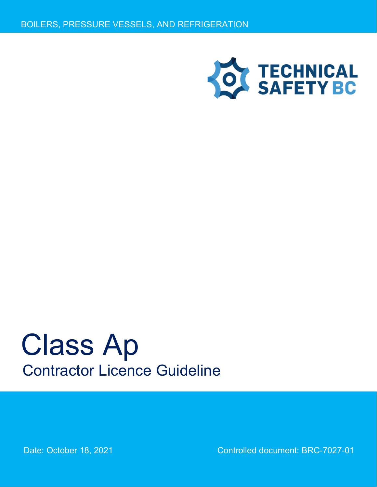

# Class Ap Contractor Licence Guideline

Date: October 18, 2021 Controlled document: BRC-7027-01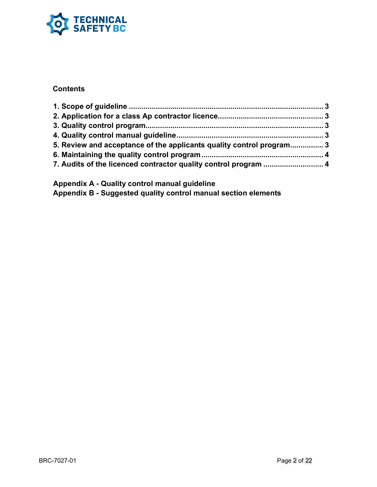

## **Contents**

| 5. Review and acceptance of the applicants quality control program3 |  |
|---------------------------------------------------------------------|--|
|                                                                     |  |
|                                                                     |  |

**Appendix A - Quality control manual guideline Appendix B - Suggested quality control manual section elements**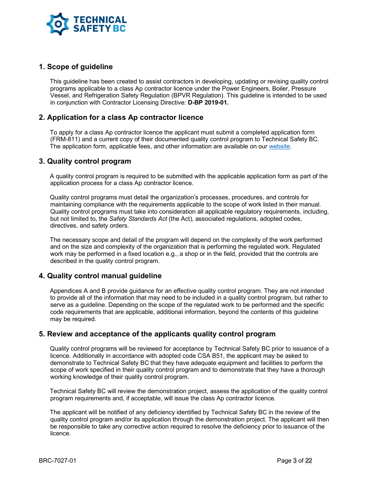

#### **1. Scope of guideline**

This guideline has been created to assist contractors in developing, updating or revising quality control programs applicable to a class Ap contractor licence under the Power Engineers, Boiler, Pressure Vessel, and Refrigeration Safety Regulation (BPVR Regulation). This guideline is intended to be used in conjunction with Contractor Licensing Directive: **D-BP 2019-01.**

#### **2. Application for a class Ap contractor licence**

To apply for a class Ap contractor licence the applicant must submit a completed application form (FRM-811) and a current copy of their documented quality control program to Technical Safety BC. The application form, applicable fees, and other information are available on our website.

#### **3. Quality control program**

A quality control program is required to be submitted with the applicable application form as part of the application process for a class Ap contractor licence.

Quality control programs must detail the organization's processes, procedures, and controls for maintaining compliance with the requirements applicable to the scope of work listed in their manual. Quality control programs must take into consideration all applicable regulatory requirements, including, but not limited to, the *Safety Standards Act* (the Act), associated regulations, adopted codes, directives, and safety orders.

The necessary scope and detail of the program will depend on the complexity of the work performed and on the size and complexity of the organization that is performing the regulated work. Regulated work may be performed in a fixed location e.g., a shop or in the field, provided that the controls are described in the quality control program.

#### **4. Quality control manual guideline**

Appendices A and B provide guidance for an effective quality control program. They are not intended to provide all of the information that may need to be included in a quality control program, but rather to serve as a guideline. Depending on the scope of the regulated work to be performed and the specific code requirements that are applicable, additional information, beyond the contents of this guideline may be required.

#### **5. Review and acceptance of the applicants quality control program**

Quality control programs will be reviewed for acceptance by Technical Safety BC prior to issuance of a licence. Additionally in accordance with adopted code CSA B51, the applicant may be asked to demonstrate to Technical Safety BC that they have adequate equipment and facilities to perform the scope of work specified in their quality control program and to demonstrate that they have a thorough working knowledge of their quality control program.

Technical Safety BC will review the demonstration project, assess the application of the quality control program requirements and, if acceptable, will issue the class Ap contractor licence.

The applicant will be notified of any deficiency identified by Technical Safety BC in the review of the quality control program and/or its application through the demonstration project. The applicant will then be responsible to take any corrective action required to resolve the deficiency prior to issuance of the licence.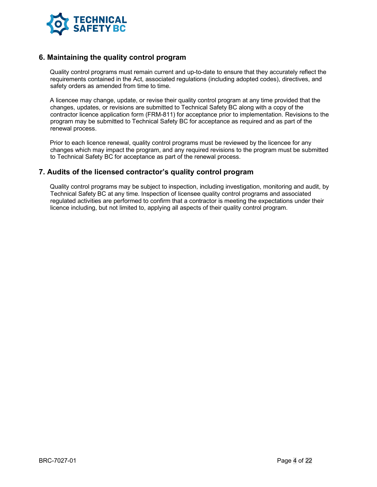

#### **6. Maintaining the quality control program**

Quality control programs must remain current and up-to-date to ensure that they accurately reflect the requirements contained in the Act, associated regulations (including adopted codes), directives, and safety orders as amended from time to time.

A licencee may change, update, or revise their quality control program at any time provided that the changes, updates, or revisions are submitted to Technical Safety BC along with a copy of the contractor licence application form (FRM-811) for acceptance prior to implementation. Revisions to the program may be submitted to Technical Safety BC for acceptance as required and as part of the renewal process.

Prior to each licence renewal, quality control programs must be reviewed by the licencee for any changes which may impact the program, and any required revisions to the program must be submitted to Technical Safety BC for acceptance as part of the renewal process.

#### **7. Audits of the licensed contractor's quality control program**

Quality control programs may be subject to inspection, including investigation, monitoring and audit, by Technical Safety BC at any time. Inspection of licensee quality control programs and associated regulated activities are performed to confirm that a contractor is meeting the expectations under their licence including, but not limited to, applying all aspects of their quality control program.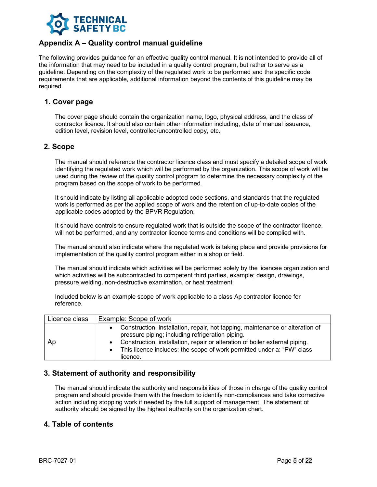

## **Appendix A – Quality control manual guideline**

The following provides guidance for an effective quality control manual. It is not intended to provide all of the information that may need to be included in a quality control program, but rather to serve as a guideline. Depending on the complexity of the regulated work to be performed and the specific code requirements that are applicable, additional information beyond the contents of this guideline may be required.

#### **1. Cover page**

The cover page should contain the organization name, logo, physical address, and the class of contractor licence. It should also contain other information including, date of manual issuance, edition level, revision level, controlled/uncontrolled copy, etc.

#### **2. Scope**

The manual should reference the contractor licence class and must specify a detailed scope of work identifying the regulated work which will be performed by the organization. This scope of work will be used during the review of the quality control program to determine the necessary complexity of the program based on the scope of work to be performed.

It should indicate by listing all applicable adopted code sections, and standards that the regulated work is performed as per the applied scope of work and the retention of up-to-date copies of the applicable codes adopted by the BPVR Regulation.

It should have controls to ensure regulated work that is outside the scope of the contractor licence, will not be performed, and any contractor licence terms and conditions will be complied with.

The manual should also indicate where the regulated work is taking place and provide provisions for implementation of the quality control program either in a shop or field.

The manual should indicate which activities will be performed solely by the licencee organization and which activities will be subcontracted to competent third parties, example; design, drawings, pressure welding, non-destructive examination, or heat treatment.

Included below is an example scope of work applicable to a class Ap contractor licence for reference.

| Licence class | Example: Scope of work                                                                                                                                                                                                                                                                                 |
|---------------|--------------------------------------------------------------------------------------------------------------------------------------------------------------------------------------------------------------------------------------------------------------------------------------------------------|
| Ap            | Construction, installation, repair, hot tapping, maintenance or alteration of<br>pressure piping; including refrigeration piping.<br>Construction, installation, repair or alteration of boiler external piping.<br>This licence includes; the scope of work permitted under a: "PW" class<br>licence. |

#### **3. Statement of authority and responsibility**

The manual should indicate the authority and responsibilities of those in charge of the quality control program and should provide them with the freedom to identify non-compliances and take corrective action including stopping work if needed by the full support of management. The statement of authority should be signed by the highest authority on the organization chart.

#### **4. Table of contents**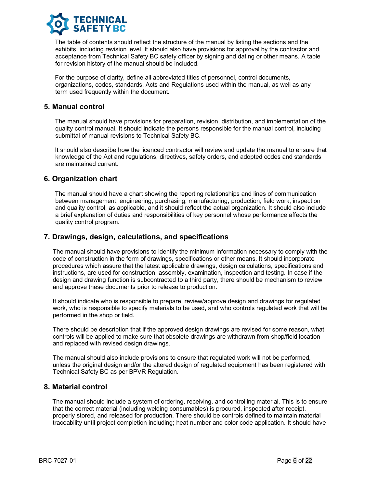

The table of contents should reflect the structure of the manual by listing the sections and the exhibits, including revision level. It should also have provisions for approval by the contractor and acceptance from Technical Safety BC safety officer by signing and dating or other means. A table for revision history of the manual should be included.

For the purpose of clarity, define all abbreviated titles of personnel, control documents, organizations, codes, standards, Acts and Regulations used within the manual, as well as any term used frequently within the document.

#### **5. Manual control**

The manual should have provisions for preparation, revision, distribution, and implementation of the quality control manual. It should indicate the persons responsible for the manual control, including submittal of manual revisions to Technical Safety BC.

It should also describe how the licenced contractor will review and update the manual to ensure that knowledge of the Act and regulations, directives, safety orders, and adopted codes and standards are maintained current.

#### **6. Organization chart**

The manual should have a chart showing the reporting relationships and lines of communication between management, engineering, purchasing, manufacturing, production, field work, inspection and quality control, as applicable, and it should reflect the actual organization. It should also include a brief explanation of duties and responsibilities of key personnel whose performance affects the quality control program.

#### **7. Drawings, design, calculations, and specifications**

The manual should have provisions to identify the minimum information necessary to comply with the code of construction in the form of drawings, specifications or other means. It should incorporate procedures which assure that the latest applicable drawings, design calculations, specifications and instructions, are used for construction, assembly, examination, inspection and testing. In case if the design and drawing function is subcontracted to a third party, there should be mechanism to review and approve these documents prior to release to production.

It should indicate who is responsible to prepare, review/approve design and drawings for regulated work, who is responsible to specify materials to be used, and who controls regulated work that will be performed in the shop or field.

There should be description that if the approved design drawings are revised for some reason, what controls will be applied to make sure that obsolete drawings are withdrawn from shop/field location and replaced with revised design drawings.

The manual should also include provisions to ensure that regulated work will not be performed, unless the original design and/or the altered design of regulated equipment has been registered with Technical Safety BC as per BPVR Regulation.

#### **8. Material control**

The manual should include a system of ordering, receiving, and controlling material. This is to ensure that the correct material (including welding consumables) is procured, inspected after receipt, properly stored, and released for production. There should be controls defined to maintain material traceability until project completion including; heat number and color code application. It should have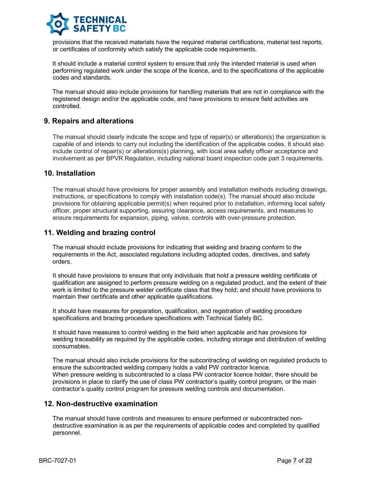

provisions that the received materials have the required material certifications, material test reports, or certificates of conformity which satisfy the applicable code requirements.

It should include a material control system to ensure that only the intended material is used when performing regulated work under the scope of the licence, and to the specifications of the applicable codes and standards.

The manual should also include provisions for handling materials that are not in compliance with the registered design and/or the applicable code, and have provisions to ensure field activities are controlled.

#### **9. Repairs and alterations**

The manual should clearly indicate the scope and type of repair(s) or alteration(s) the organization is capable of and intends to carry out including the identification of the applicable codes. It should also include control of repair(s) or alterations(s) planning, with local area safety officer acceptance and involvement as per BPVR Regulation, including national board inspection code part 3 requirements.

#### **10. Installation**

The manual should have provisions for proper assembly and installation methods including drawings, instructions, or specifications to comply with installation code(s). The manual should also include provisions for obtaining applicable permit(s) when required prior to installation, informing local safety officer, proper structural supporting, assuring clearance, access requirements, and measures to ensure requirements for expansion, piping, valves, controls with over-pressure protection.

#### **11. Welding and brazing control**

The manual should include provisions for indicating that welding and brazing conform to the requirements in the Act, associated regulations including adopted codes, directives, and safety orders.

It should have provisions to ensure that only individuals that hold a pressure welding certificate of qualification are assigned to perform pressure welding on a regulated product, and the extent of their work is limited to the pressure welder certificate class that they hold; and should have provisions to maintain their certificate and other applicable qualifications.

It should have measures for preparation, qualification, and registration of welding procedure specifications and brazing procedure specifications with Technical Safety BC.

It should have measures to control welding in the field when applicable and has provisions for welding traceability as required by the applicable codes, including storage and distribution of welding consumables.

The manual should also include provisions for the subcontracting of welding on regulated products to ensure the subcontracted welding company holds a valid PW contractor licence. When pressure welding is subcontracted to a class PW contractor licence holder, there should be provisions in place to clarify the use of class PW contractor's quality control program, or the main contractor's quality control program for pressure welding controls and documentation.

#### **12. Non-destructive examination**

The manual should have controls and measures to ensure performed or subcontracted nondestructive examination is as per the requirements of applicable codes and completed by qualified personnel.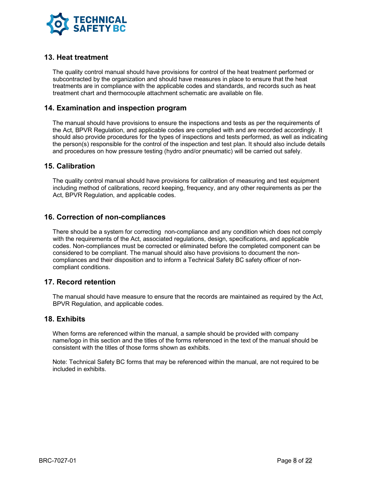

#### **13. Heat treatment**

The quality control manual should have provisions for control of the heat treatment performed or subcontracted by the organization and should have measures in place to ensure that the heat treatments are in compliance with the applicable codes and standards, and records such as heat treatment chart and thermocouple attachment schematic are available on file.

#### **14. Examination and inspection program**

The manual should have provisions to ensure the inspections and tests as per the requirements of the Act, BPVR Regulation, and applicable codes are complied with and are recorded accordingly. It should also provide procedures for the types of inspections and tests performed, as well as indicating the person(s) responsible for the control of the inspection and test plan. It should also include details and procedures on how pressure testing (hydro and/or pneumatic) will be carried out safely.

#### **15. Calibration**

The quality control manual should have provisions for calibration of measuring and test equipment including method of calibrations, record keeping, frequency, and any other requirements as per the Act, BPVR Regulation, and applicable codes.

#### **16. Correction of non-compliances**

There should be a system for correcting non-compliance and any condition which does not comply with the requirements of the Act, associated regulations, design, specifications, and applicable codes. Non-compliances must be corrected or eliminated before the completed component can be considered to be compliant. The manual should also have provisions to document the noncompliances and their disposition and to inform a Technical Safety BC safety officer of noncompliant conditions.

#### **17. Record retention**

The manual should have measure to ensure that the records are maintained as required by the Act, BPVR Regulation, and applicable codes.

#### **18. Exhibits**

When forms are referenced within the manual, a sample should be provided with company name/logo in this section and the titles of the forms referenced in the text of the manual should be consistent with the titles of those forms shown as exhibits.

Note: Technical Safety BC forms that may be referenced within the manual, are not required to be included in exhibits.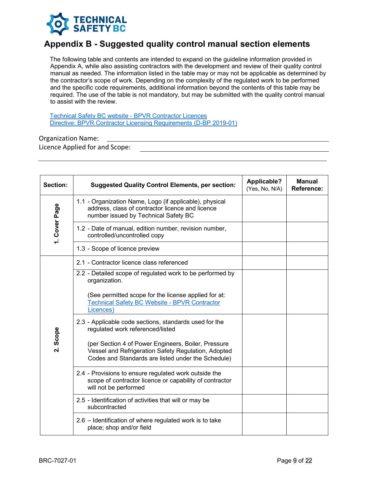

# **Appendix B - Suggested quality control manual section elements**

The following table and contents are intended to expand on the guideline information provided in Appendix A, while also assisting contractors with the development and review of their quality control manual as needed. The information listed in the table may or may not be applicable as determined by the contractor's scope of work. Depending on the complexity of the regulated work to be performed and the specific code requirements, additional information beyond the contents of this table may be required. The use of the table is not mandatory, but may be submitted with the quality control manual to assist with the review.

Technical Safety BC website - BPVR Contractor Licences Directive: BPVR Contractor Licensing Requirements (D-BP 2019-01)

#### Organization Name:

Licence Applied for and Scope:

| Section:      | <b>Suggested Quality Control Elements, per section:</b>                                                                                                          | <b>Applicable?</b><br>(Yes, No, N/A) | <b>Manual</b><br><b>Reference:</b> |
|---------------|------------------------------------------------------------------------------------------------------------------------------------------------------------------|--------------------------------------|------------------------------------|
|               | 1.1 - Organization Name, Logo (if applicable), physical<br>address, class of contractor licence and licence<br>number issued by Technical Safety BC              |                                      |                                    |
| 1. Cover Page | 1.2 - Date of manual, edition number, revision number,<br>controlled/uncontrolled copy                                                                           |                                      |                                    |
|               | 1.3 - Scope of licence preview                                                                                                                                   |                                      |                                    |
|               | 2.1 - Contractor licence class referenced                                                                                                                        |                                      |                                    |
|               | 2.2 - Detailed scope of regulated work to be performed by<br>organization.                                                                                       |                                      |                                    |
|               | (See permitted scope for the license applied for at:<br><b>Technical Safety BC Website - BPVR Contractor</b><br>Licences)                                        |                                      |                                    |
|               | 2.3 - Applicable code sections, standards used for the<br>regulated work referenced/listed                                                                       |                                      |                                    |
| 2. Scope      | (per Section 4 of Power Engineers, Boiler, Pressure<br>Vessel and Refrigeration Safety Regulation, Adopted<br>Codes and Standards are listed under the Schedule) |                                      |                                    |
|               | 2.4 - Provisions to ensure regulated work outside the<br>scope of contractor licence or capability of contractor<br>will not be performed                        |                                      |                                    |
|               | 2.5 - Identification of activities that will or may be<br>subcontracted                                                                                          |                                      |                                    |
|               | 2.6 – Identification of where regulated work is to take<br>place; shop and/or field                                                                              |                                      |                                    |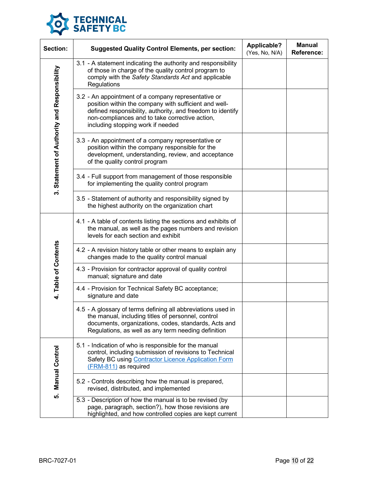

| Section:                                     | <b>Suggested Quality Control Elements, per section:</b>                                                                                                                                                                                                           | <b>Applicable?</b><br>(Yes, No, N/A) | <b>Manual</b><br><b>Reference:</b> |
|----------------------------------------------|-------------------------------------------------------------------------------------------------------------------------------------------------------------------------------------------------------------------------------------------------------------------|--------------------------------------|------------------------------------|
|                                              | 3.1 - A statement indicating the authority and responsibility<br>of those in charge of the quality control program to<br>comply with the Safety Standards Act and applicable<br>Regulations                                                                       |                                      |                                    |
| 3. Statement of Authority and Responsibility | 3.2 - An appointment of a company representative or<br>position within the company with sufficient and well-<br>defined responsibility, authority, and freedom to identify<br>non-compliances and to take corrective action,<br>including stopping work if needed |                                      |                                    |
|                                              | 3.3 - An appointment of a company representative or<br>position within the company responsible for the<br>development, understanding, review, and acceptance<br>of the quality control program                                                                    |                                      |                                    |
|                                              | 3.4 - Full support from management of those responsible<br>for implementing the quality control program                                                                                                                                                           |                                      |                                    |
|                                              | 3.5 - Statement of authority and responsibility signed by<br>the highest authority on the organization chart                                                                                                                                                      |                                      |                                    |
|                                              | 4.1 - A table of contents listing the sections and exhibits of<br>the manual, as well as the pages numbers and revision<br>levels for each section and exhibit                                                                                                    |                                      |                                    |
| 4. Table of Contents                         | 4.2 - A revision history table or other means to explain any<br>changes made to the quality control manual                                                                                                                                                        |                                      |                                    |
|                                              | 4.3 - Provision for contractor approval of quality control<br>manual; signature and date                                                                                                                                                                          |                                      |                                    |
|                                              | 4.4 - Provision for Technical Safety BC acceptance;<br>signature and date                                                                                                                                                                                         |                                      |                                    |
|                                              | 4.5 - A glossary of terms defining all abbreviations used in<br>the manual, including titles of personnel, control<br>documents, organizations, codes, standards, Acts and<br>Regulations, as well as any term needing definition                                 |                                      |                                    |
| 5. Manual Control                            | 5.1 - Indication of who is responsible for the manual<br>control, including submission of revisions to Technical<br>Safety BC using Contractor Licence Application Form<br>(FRM-811) as required                                                                  |                                      |                                    |
|                                              | 5.2 - Controls describing how the manual is prepared,<br>revised, distributed, and implemented                                                                                                                                                                    |                                      |                                    |
|                                              | 5.3 - Description of how the manual is to be revised (by<br>page, paragraph, section?), how those revisions are<br>highlighted, and how controlled copies are kept current                                                                                        |                                      |                                    |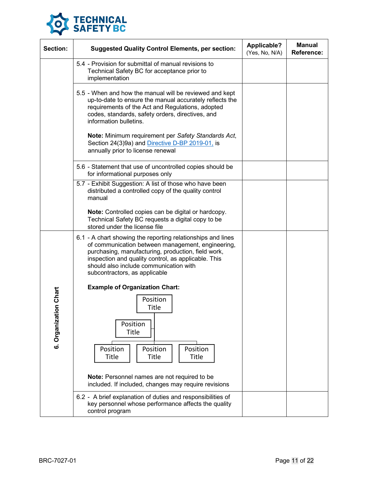

| Section:     | <b>Suggested Quality Control Elements, per section:</b>                                                                                                                                                                                                                                                  | Applicable?<br>(Yes, No, N/A) | <b>Manual</b><br><b>Reference:</b> |
|--------------|----------------------------------------------------------------------------------------------------------------------------------------------------------------------------------------------------------------------------------------------------------------------------------------------------------|-------------------------------|------------------------------------|
|              | 5.4 - Provision for submittal of manual revisions to<br>Technical Safety BC for acceptance prior to<br>implementation                                                                                                                                                                                    |                               |                                    |
|              | 5.5 - When and how the manual will be reviewed and kept<br>up-to-date to ensure the manual accurately reflects the<br>requirements of the Act and Regulations, adopted<br>codes, standards, safety orders, directives, and<br>information bulletins.                                                     |                               |                                    |
|              | Note: Minimum requirement per Safety Standards Act,<br>Section 24(3)9a) and Directive D-BP 2019-01, is<br>annually prior to license renewal                                                                                                                                                              |                               |                                    |
|              | 5.6 - Statement that use of uncontrolled copies should be<br>for informational purposes only                                                                                                                                                                                                             |                               |                                    |
|              | 5.7 - Exhibit Suggestion: A list of those who have been<br>distributed a controlled copy of the quality control<br>manual                                                                                                                                                                                |                               |                                    |
|              | Note: Controlled copies can be digital or hardcopy.<br>Technical Safety BC requests a digital copy to be<br>stored under the license file                                                                                                                                                                |                               |                                    |
|              | 6.1 - A chart showing the reporting relationships and lines<br>of communication between management, engineering,<br>purchasing, manufacturing, production, field work,<br>inspection and quality control, as applicable. This<br>should also include communication with<br>subcontractors, as applicable |                               |                                    |
|              | <b>Example of Organization Chart:</b>                                                                                                                                                                                                                                                                    |                               |                                    |
| tion Chart   | Position<br>Title                                                                                                                                                                                                                                                                                        |                               |                                    |
| 6. Organizat | Position<br><b>Title</b><br>Position<br>Position<br>Position<br><b>Title</b><br><b>Title</b><br>Title                                                                                                                                                                                                    |                               |                                    |
|              | Note: Personnel names are not required to be<br>included. If included, changes may require revisions                                                                                                                                                                                                     |                               |                                    |
|              | 6.2 - A brief explanation of duties and responsibilities of<br>key personnel whose performance affects the quality<br>control program                                                                                                                                                                    |                               |                                    |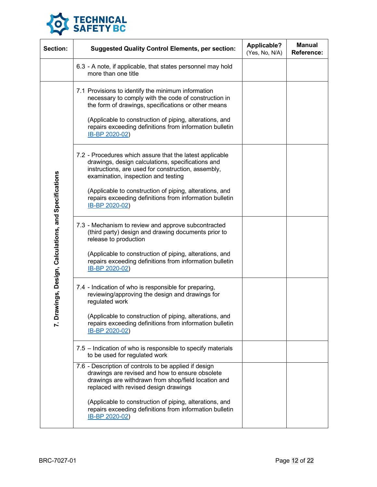

| Section:                                              | <b>Suggested Quality Control Elements, per section:</b>                                                                                                                                                                                                                                                                                            | <b>Applicable?</b><br>(Yes, No, N/A) | <b>Manual</b><br><b>Reference:</b> |
|-------------------------------------------------------|----------------------------------------------------------------------------------------------------------------------------------------------------------------------------------------------------------------------------------------------------------------------------------------------------------------------------------------------------|--------------------------------------|------------------------------------|
|                                                       | 6.3 - A note, if applicable, that states personnel may hold<br>more than one title                                                                                                                                                                                                                                                                 |                                      |                                    |
| awings, Design, Calculations, and Specifications<br>ō | 7.1 Provisions to identify the minimum information<br>necessary to comply with the code of construction in<br>the form of drawings, specifications or other means<br>(Applicable to construction of piping, alterations, and<br>repairs exceeding definitions from information bulletin<br>IB-BP 2020-02)                                          |                                      |                                    |
|                                                       | 7.2 - Procedures which assure that the latest applicable<br>drawings, design calculations, specifications and<br>instructions, are used for construction, assembly,<br>examination, inspection and testing<br>(Applicable to construction of piping, alterations, and<br>repairs exceeding definitions from information bulletin<br>IB-BP 2020-02) |                                      |                                    |
|                                                       | 7.3 - Mechanism to review and approve subcontracted<br>(third party) design and drawing documents prior to<br>release to production<br>(Applicable to construction of piping, alterations, and<br>repairs exceeding definitions from information bulletin<br>IB-BP 2020-02)                                                                        |                                      |                                    |
|                                                       | 7.4 - Indication of who is responsible for preparing,<br>reviewing/approving the design and drawings for<br>regulated work<br>(Applicable to construction of piping, alterations, and<br>repairs exceeding definitions from information bulletin<br>IB-BP 2020-02)                                                                                 |                                      |                                    |
|                                                       | 7.5 – Indication of who is responsible to specify materials<br>to be used for regulated work                                                                                                                                                                                                                                                       |                                      |                                    |
|                                                       | 7.6 - Description of controls to be applied if design<br>drawings are revised and how to ensure obsolete<br>drawings are withdrawn from shop/field location and<br>replaced with revised design drawings                                                                                                                                           |                                      |                                    |
|                                                       | (Applicable to construction of piping, alterations, and<br>repairs exceeding definitions from information bulletin<br>IB-BP 2020-02)                                                                                                                                                                                                               |                                      |                                    |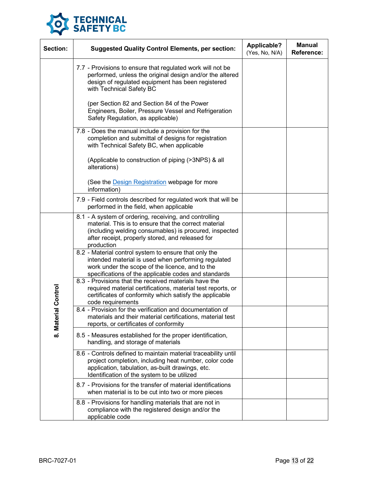

| Section:   | <b>Suggested Quality Control Elements, per section:</b>                                                                                                                                                                                     | <b>Applicable?</b><br>(Yes, No, N/A) | <b>Manual</b><br><b>Reference:</b> |
|------------|---------------------------------------------------------------------------------------------------------------------------------------------------------------------------------------------------------------------------------------------|--------------------------------------|------------------------------------|
|            | 7.7 - Provisions to ensure that regulated work will not be<br>performed, unless the original design and/or the altered<br>design of regulated equipment has been registered<br>with Technical Safety BC                                     |                                      |                                    |
|            | (per Section 82 and Section 84 of the Power<br>Engineers, Boiler, Pressure Vessel and Refrigeration<br>Safety Regulation, as applicable)                                                                                                    |                                      |                                    |
|            | 7.8 - Does the manual include a provision for the<br>completion and submittal of designs for registration<br>with Technical Safety BC, when applicable                                                                                      |                                      |                                    |
|            | (Applicable to construction of piping (>3NPS) & all<br>alterations)                                                                                                                                                                         |                                      |                                    |
|            | (See the Design Registration webpage for more<br>information)                                                                                                                                                                               |                                      |                                    |
|            | 7.9 - Field controls described for regulated work that will be<br>performed in the field, when applicable                                                                                                                                   |                                      |                                    |
|            | 8.1 - A system of ordering, receiving, and controlling<br>material. This is to ensure that the correct material<br>(including welding consumables) is procured, inspected<br>after receipt, properly stored, and released for<br>production |                                      |                                    |
|            | 8.2 - Material control system to ensure that only the<br>intended material is used when performing regulated<br>work under the scope of the licence, and to the<br>specifications of the applicable codes and standards                     |                                      |                                    |
| al Control | 8.3 - Provisions that the received materials have the<br>required material certifications, material test reports, or<br>certificates of conformity which satisfy the applicable<br>code requirements                                        |                                      |                                    |
| 8. Mater   | 8.4 - Provision for the verification and documentation of<br>materials and their material certifications, material test<br>reports, or certificates of conformity                                                                           |                                      |                                    |
|            | 8.5 - Measures established for the proper identification,<br>handling, and storage of materials                                                                                                                                             |                                      |                                    |
|            | 8.6 - Controls defined to maintain material traceability until<br>project completion, including heat number, color code<br>application, tabulation, as-built drawings, etc.<br>Identification of the system to be utilized                  |                                      |                                    |
|            | 8.7 - Provisions for the transfer of material identifications<br>when material is to be cut into two or more pieces                                                                                                                         |                                      |                                    |
|            | 8.8 - Provisions for handling materials that are not in<br>compliance with the registered design and/or the<br>applicable code                                                                                                              |                                      |                                    |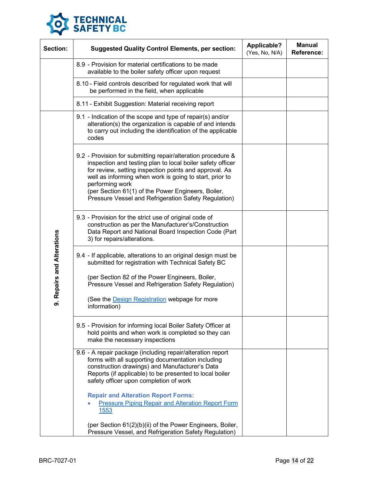

| Section:                   | <b>Suggested Quality Control Elements, per section:</b>                                                                                                                                                                                                                                                                                                                          | <b>Applicable?</b><br>(Yes, No, N/A) | <b>Manual</b><br>Reference: |
|----------------------------|----------------------------------------------------------------------------------------------------------------------------------------------------------------------------------------------------------------------------------------------------------------------------------------------------------------------------------------------------------------------------------|--------------------------------------|-----------------------------|
|                            | 8.9 - Provision for material certifications to be made<br>available to the boiler safety officer upon request                                                                                                                                                                                                                                                                    |                                      |                             |
|                            | 8.10 - Field controls described for regulated work that will<br>be performed in the field, when applicable                                                                                                                                                                                                                                                                       |                                      |                             |
|                            | 8.11 - Exhibit Suggestion: Material receiving report                                                                                                                                                                                                                                                                                                                             |                                      |                             |
|                            | 9.1 - Indication of the scope and type of repair(s) and/or<br>alteration(s) the organization is capable of and intends<br>to carry out including the identification of the applicable<br>codes                                                                                                                                                                                   |                                      |                             |
| 9. Repairs and Alterations | 9.2 - Provision for submitting repair/alteration procedure &<br>inspection and testing plan to local boiler safety officer<br>for review, setting inspection points and approval. As<br>well as informing when work is going to start, prior to<br>performing work<br>(per Section 61(1) of the Power Engineers, Boiler,<br>Pressure Vessel and Refrigeration Safety Regulation) |                                      |                             |
|                            | 9.3 - Provision for the strict use of original code of<br>construction as per the Manufacturer's/Construction<br>Data Report and National Board Inspection Code (Part<br>3) for repairs/alterations.                                                                                                                                                                             |                                      |                             |
|                            | 9.4 - If applicable, alterations to an original design must be<br>submitted for registration with Technical Safety BC<br>(per Section 82 of the Power Engineers, Boiler,<br>Pressure Vessel and Refrigeration Safety Regulation)<br>(See the <b>Design Registration</b> webpage for more<br>information)                                                                         |                                      |                             |
|                            | 9.5 - Provision for informing local Boiler Safety Officer at<br>hold points and when work is completed so they can<br>make the necessary inspections                                                                                                                                                                                                                             |                                      |                             |
|                            | 9.6 - A repair package (including repair/alteration report<br>forms with all supporting documentation including<br>construction drawings) and Manufacturer's Data<br>Reports (if applicable) to be presented to local boiler<br>safety officer upon completion of work                                                                                                           |                                      |                             |
|                            | <b>Repair and Alteration Report Forms:</b><br><b>Pressure Piping Repair and Alteration Report Form</b><br><u>1553</u>                                                                                                                                                                                                                                                            |                                      |                             |
|                            | (per Section 61(2)(b)(ii) of the Power Engineers, Boiler,<br>Pressure Vessel, and Refrigeration Safety Regulation)                                                                                                                                                                                                                                                               |                                      |                             |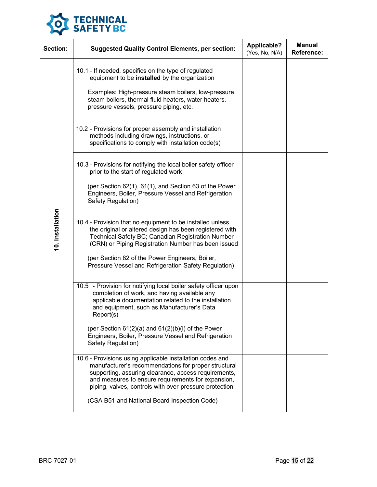

| Section:         | <b>Suggested Quality Control Elements, per section:</b>                                                                                                                                                                                                                                                                                                           | <b>Applicable?</b><br>(Yes, No, N/A) | <b>Manual</b><br><b>Reference:</b> |
|------------------|-------------------------------------------------------------------------------------------------------------------------------------------------------------------------------------------------------------------------------------------------------------------------------------------------------------------------------------------------------------------|--------------------------------------|------------------------------------|
|                  | 10.1 - If needed, specifics on the type of regulated<br>equipment to be installed by the organization<br>Examples: High-pressure steam boilers, low-pressure<br>steam boilers, thermal fluid heaters, water heaters,<br>pressure vessels, pressure piping, etc.                                                                                                   |                                      |                                    |
|                  | 10.2 - Provisions for proper assembly and installation<br>methods including drawings, instructions, or<br>specifications to comply with installation code(s)                                                                                                                                                                                                      |                                      |                                    |
|                  | 10.3 - Provisions for notifying the local boiler safety officer<br>prior to the start of regulated work<br>(per Section 62(1), 61(1), and Section 63 of the Power<br>Engineers, Boiler, Pressure Vessel and Refrigeration                                                                                                                                         |                                      |                                    |
| 10. Installation | Safety Regulation)<br>10.4 - Provision that no equipment to be installed unless<br>the original or altered design has been registered with<br>Technical Safety BC; Canadian Registration Number<br>(CRN) or Piping Registration Number has been issued<br>(per Section 82 of the Power Engineers, Boiler,<br>Pressure Vessel and Refrigeration Safety Regulation) |                                      |                                    |
|                  | 10.5 - Provision for notifying local boiler safety officer upon<br>completion of work, and having available any<br>applicable documentation related to the installation<br>and equipment, such as Manufacturer's Data<br>Report(s)                                                                                                                                |                                      |                                    |
|                  | (per Section $61(2)(a)$ and $61(2)(b)(i)$ of the Power<br>Engineers, Boiler, Pressure Vessel and Refrigeration<br>Safety Regulation)                                                                                                                                                                                                                              |                                      |                                    |
|                  | 10.6 - Provisions using applicable installation codes and<br>manufacturer's recommendations for proper structural<br>supporting, assuring clearance, access requirements,<br>and measures to ensure requirements for expansion,<br>piping, valves, controls with over-pressure protection                                                                         |                                      |                                    |
|                  | (CSA B51 and National Board Inspection Code)                                                                                                                                                                                                                                                                                                                      |                                      |                                    |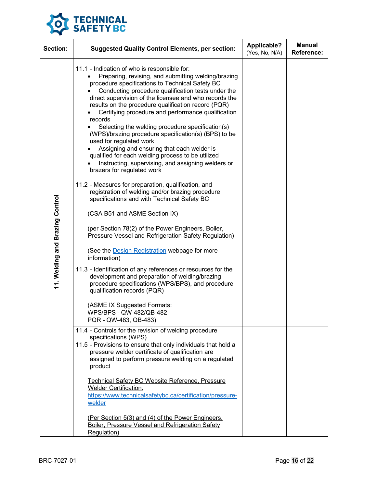

| <b>Section:</b>                 | <b>Suggested Quality Control Elements, per section:</b>                                                                                                                                                                                                                                                                                                                                                                                                                                                                                                                                                                                                                                                                      | <b>Applicable?</b><br>(Yes, No, N/A) | <b>Manual</b><br><b>Reference:</b> |
|---------------------------------|------------------------------------------------------------------------------------------------------------------------------------------------------------------------------------------------------------------------------------------------------------------------------------------------------------------------------------------------------------------------------------------------------------------------------------------------------------------------------------------------------------------------------------------------------------------------------------------------------------------------------------------------------------------------------------------------------------------------------|--------------------------------------|------------------------------------|
| 11. Welding and Brazing Control | 11.1 - Indication of who is responsible for:<br>Preparing, revising, and submitting welding/brazing<br>procedure specifications to Technical Safety BC<br>Conducting procedure qualification tests under the<br>direct supervision of the licensee and who records the<br>results on the procedure qualification record (PQR)<br>Certifying procedure and performance qualification<br>records<br>Selecting the welding procedure specification(s)<br>(WPS)/brazing procedure specification(s) (BPS) to be<br>used for regulated work<br>Assigning and ensuring that each welder is<br>qualified for each welding process to be utilized<br>Instructing, supervising, and assigning welders or<br>brazers for regulated work |                                      |                                    |
|                                 | 11.2 - Measures for preparation, qualification, and<br>registration of welding and/or brazing procedure<br>specifications and with Technical Safety BC<br>(CSA B51 and ASME Section IX)<br>(per Section 78(2) of the Power Engineers, Boiler,<br>Pressure Vessel and Refrigeration Safety Regulation)<br>(See the <b>Design Registration</b> webpage for more<br>information)                                                                                                                                                                                                                                                                                                                                                |                                      |                                    |
|                                 | 11.3 - Identification of any references or resources for the<br>development and preparation of welding/brazing<br>procedure specifications (WPS/BPS), and procedure<br>qualification records (PQR)<br>(ASME IX Suggested Formats:<br>WPS/BPS - QW-482/QB-482<br>PQR - QW-483, QB-483)<br>11.4 - Controls for the revision of welding procedure<br>specifications (WPS)<br>11.5 - Provisions to ensure that only individuals that hold a<br>pressure welder certificate of qualification are<br>assigned to perform pressure welding on a regulated<br>product<br>Technical Safety BC Website Reference, Pressure<br><b>Welder Certification:</b><br>https://www.technicalsafetybc.ca/certification/pressure-<br>welder       |                                      |                                    |
|                                 | (Per Section 5(3) and (4) of the Power Engineers.<br>Boiler, Pressure Vessel and Refrigeration Safety<br>Regulation)                                                                                                                                                                                                                                                                                                                                                                                                                                                                                                                                                                                                         |                                      |                                    |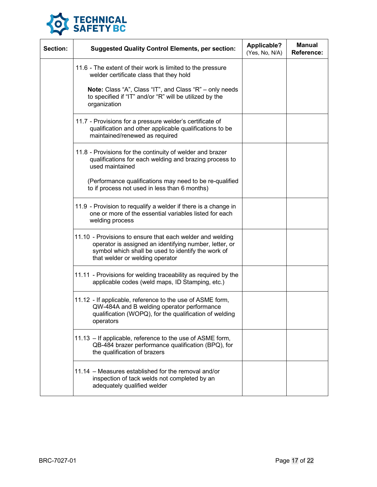

| Section: | <b>Suggested Quality Control Elements, per section:</b>                                                                                                                                                      | <b>Applicable?</b><br>(Yes, No, N/A) | <b>Manual</b><br><b>Reference:</b> |
|----------|--------------------------------------------------------------------------------------------------------------------------------------------------------------------------------------------------------------|--------------------------------------|------------------------------------|
|          | 11.6 - The extent of their work is limited to the pressure<br>welder certificate class that they hold                                                                                                        |                                      |                                    |
|          | Note: Class "A", Class "IT", and Class "R" - only needs<br>to specified if "IT" and/or "R" will be utilized by the<br>organization                                                                           |                                      |                                    |
|          | 11.7 - Provisions for a pressure welder's certificate of<br>qualification and other applicable qualifications to be<br>maintained/renewed as required                                                        |                                      |                                    |
|          | 11.8 - Provisions for the continuity of welder and brazer<br>qualifications for each welding and brazing process to<br>used maintained                                                                       |                                      |                                    |
|          | (Performance qualifications may need to be re-qualified<br>to if process not used in less than 6 months)                                                                                                     |                                      |                                    |
|          | 11.9 - Provision to requalify a welder if there is a change in<br>one or more of the essential variables listed for each<br>welding process                                                                  |                                      |                                    |
|          | 11.10 - Provisions to ensure that each welder and welding<br>operator is assigned an identifying number, letter, or<br>symbol which shall be used to identify the work of<br>that welder or welding operator |                                      |                                    |
|          | 11.11 - Provisions for welding traceability as required by the<br>applicable codes (weld maps, ID Stamping, etc.)                                                                                            |                                      |                                    |
|          | 11.12 - If applicable, reference to the use of ASME form,<br>QW-484A and B welding operator performance<br>qualification (WOPQ), for the qualification of welding<br>operators                               |                                      |                                    |
|          | 11.13 - If applicable, reference to the use of ASME form,<br>QB-484 brazer performance qualification (BPQ), for<br>the qualification of brazers                                                              |                                      |                                    |
|          | 11.14 - Measures established for the removal and/or<br>inspection of tack welds not completed by an<br>adequately qualified welder                                                                           |                                      |                                    |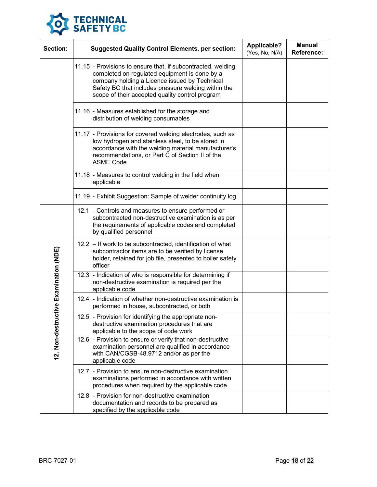

| Section:               | <b>Suggested Quality Control Elements, per section:</b>                                                                                                                                                                                                                  | Applicable?<br>(Yes, No, N/A) | <b>Manual</b><br><b>Reference:</b> |
|------------------------|--------------------------------------------------------------------------------------------------------------------------------------------------------------------------------------------------------------------------------------------------------------------------|-------------------------------|------------------------------------|
|                        | 11.15 - Provisions to ensure that, if subcontracted, welding<br>completed on regulated equipment is done by a<br>company holding a Licence issued by Technical<br>Safety BC that includes pressure welding within the<br>scope of their accepted quality control program |                               |                                    |
|                        | 11.16 - Measures established for the storage and<br>distribution of welding consumables                                                                                                                                                                                  |                               |                                    |
|                        | 11.17 - Provisions for covered welding electrodes, such as<br>low hydrogen and stainless steel, to be stored in<br>accordance with the welding material manufacturer's<br>recommendations, or Part C of Section II of the<br><b>ASME Code</b>                            |                               |                                    |
|                        | 11.18 - Measures to control welding in the field when<br>applicable                                                                                                                                                                                                      |                               |                                    |
|                        | 11.19 - Exhibit Suggestion: Sample of welder continuity log                                                                                                                                                                                                              |                               |                                    |
|                        | 12.1 - Controls and measures to ensure performed or<br>subcontracted non-destructive examination is as per<br>the requirements of applicable codes and completed<br>by qualified personnel                                                                               |                               |                                    |
| tive Examination (NDE) | 12.2 - If work to be subcontracted, identification of what<br>subcontractor items are to be verified by license<br>holder, retained for job file, presented to boiler safety<br>officer                                                                                  |                               |                                    |
|                        | 12.3 - Indication of who is responsible for determining if<br>non-destructive examination is required per the<br>applicable code                                                                                                                                         |                               |                                    |
|                        | 12.4 - Indication of whether non-destructive examination is<br>performed in house, subcontracted, or both                                                                                                                                                                |                               |                                    |
| 12. Non-destruc        | 12.5 - Provision for identifying the appropriate non-<br>destructive examination procedures that are<br>applicable to the scope of code work                                                                                                                             |                               |                                    |
|                        | 12.6 - Provision to ensure or verify that non-destructive<br>examination personnel are qualified in accordance<br>with CAN/CGSB-48.9712 and/or as per the<br>applicable code                                                                                             |                               |                                    |
|                        | 12.7 - Provision to ensure non-destructive examination<br>examinations performed in accordance with written<br>procedures when required by the applicable code                                                                                                           |                               |                                    |
|                        | 12.8 - Provision for non-destructive examination<br>documentation and records to be prepared as<br>specified by the applicable code                                                                                                                                      |                               |                                    |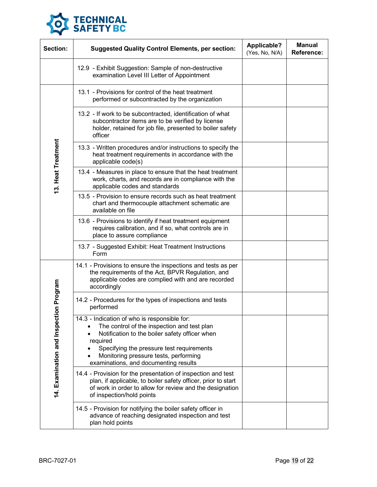

| Section:                                   | <b>Suggested Quality Control Elements, per section:</b>                                                                                                                                                                                                                                  | <b>Applicable?</b><br>(Yes, No, N/A) | <b>Manual</b><br><b>Reference:</b> |
|--------------------------------------------|------------------------------------------------------------------------------------------------------------------------------------------------------------------------------------------------------------------------------------------------------------------------------------------|--------------------------------------|------------------------------------|
|                                            | 12.9 - Exhibit Suggestion: Sample of non-destructive<br>examination Level III Letter of Appointment                                                                                                                                                                                      |                                      |                                    |
| 13. Heat Treatment                         | 13.1 - Provisions for control of the heat treatment<br>performed or subcontracted by the organization                                                                                                                                                                                    |                                      |                                    |
|                                            | 13.2 - If work to be subcontracted, identification of what<br>subcontractor items are to be verified by license<br>holder, retained for job file, presented to boiler safety<br>officer                                                                                                  |                                      |                                    |
|                                            | 13.3 - Written procedures and/or instructions to specify the<br>heat treatment requirements in accordance with the<br>applicable code(s)                                                                                                                                                 |                                      |                                    |
|                                            | 13.4 - Measures in place to ensure that the heat treatment<br>work, charts, and records are in compliance with the<br>applicable codes and standards                                                                                                                                     |                                      |                                    |
|                                            | 13.5 - Provision to ensure records such as heat treatment<br>chart and thermocouple attachment schematic are<br>available on file                                                                                                                                                        |                                      |                                    |
|                                            | 13.6 - Provisions to identify if heat treatment equipment<br>requires calibration, and if so, what controls are in<br>place to assure compliance                                                                                                                                         |                                      |                                    |
|                                            | 13.7 - Suggested Exhibit: Heat Treatment Instructions<br>Form                                                                                                                                                                                                                            |                                      |                                    |
| on Program<br>14. Examination and Inspecti | 14.1 - Provisions to ensure the inspections and tests as per<br>the requirements of the Act, BPVR Regulation, and<br>applicable codes are complied with and are recorded<br>accordingly                                                                                                  |                                      |                                    |
|                                            | 14.2 - Procedures for the types of inspections and tests<br>performed                                                                                                                                                                                                                    |                                      |                                    |
|                                            | 14.3 - Indication of who is responsible for:<br>The control of the inspection and test plan<br>Notification to the boiler safety officer when<br>required<br>Specifying the pressure test requirements<br>Monitoring pressure tests, performing<br>examinations, and documenting results |                                      |                                    |
|                                            | 14.4 - Provision for the presentation of inspection and test<br>plan, if applicable, to boiler safety officer, prior to start<br>of work in order to allow for review and the designation<br>of inspection/hold points                                                                   |                                      |                                    |
|                                            | 14.5 - Provision for notifying the boiler safety officer in<br>advance of reaching designated inspection and test<br>plan hold points                                                                                                                                                    |                                      |                                    |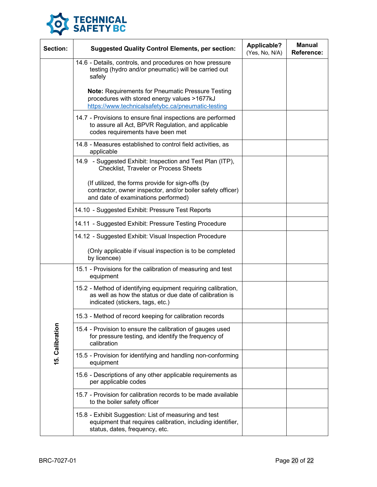

| Section:        | <b>Suggested Quality Control Elements, per section:</b>                                                                                                      | <b>Applicable?</b><br>(Yes, No, N/A) | <b>Manual</b><br><b>Reference:</b> |
|-----------------|--------------------------------------------------------------------------------------------------------------------------------------------------------------|--------------------------------------|------------------------------------|
|                 | 14.6 - Details, controls, and procedures on how pressure<br>testing (hydro and/or pneumatic) will be carried out<br>safely                                   |                                      |                                    |
|                 | Note: Requirements for Pneumatic Pressure Testing<br>procedures with stored energy values >1677kJ<br>https://www.technicalsafetybc.ca/pneumatic-testing      |                                      |                                    |
|                 | 14.7 - Provisions to ensure final inspections are performed<br>to assure all Act, BPVR Regulation, and applicable<br>codes requirements have been met        |                                      |                                    |
|                 | 14.8 - Measures established to control field activities, as<br>applicable                                                                                    |                                      |                                    |
|                 | 14.9 - Suggested Exhibit: Inspection and Test Plan (ITP),<br><b>Checklist, Traveler or Process Sheets</b>                                                    |                                      |                                    |
|                 | (If utilized, the forms provide for sign-offs (by<br>contractor, owner inspector, and/or boiler safety officer)<br>and date of examinations performed)       |                                      |                                    |
|                 | 14.10 - Suggested Exhibit: Pressure Test Reports                                                                                                             |                                      |                                    |
|                 | 14.11 - Suggested Exhibit: Pressure Testing Procedure                                                                                                        |                                      |                                    |
|                 | 14.12 - Suggested Exhibit: Visual Inspection Procedure                                                                                                       |                                      |                                    |
|                 | (Only applicable if visual inspection is to be completed<br>by licencee)                                                                                     |                                      |                                    |
| 15. Calibration | 15.1 - Provisions for the calibration of measuring and test<br>equipment                                                                                     |                                      |                                    |
|                 | 15.2 - Method of identifying equipment requiring calibration,<br>as well as how the status or due date of calibration is<br>indicated (stickers, tags, etc.) |                                      |                                    |
|                 | 15.3 - Method of record keeping for calibration records                                                                                                      |                                      |                                    |
|                 | 15.4 - Provision to ensure the calibration of gauges used<br>for pressure testing, and identify the frequency of<br>calibration                              |                                      |                                    |
|                 | 15.5 - Provision for identifying and handling non-conforming<br>equipment                                                                                    |                                      |                                    |
|                 | 15.6 - Descriptions of any other applicable requirements as<br>per applicable codes                                                                          |                                      |                                    |
|                 | 15.7 - Provision for calibration records to be made available<br>to the boiler safety officer                                                                |                                      |                                    |
|                 | 15.8 - Exhibit Suggestion: List of measuring and test<br>equipment that requires calibration, including identifier,<br>status, dates, frequency, etc.        |                                      |                                    |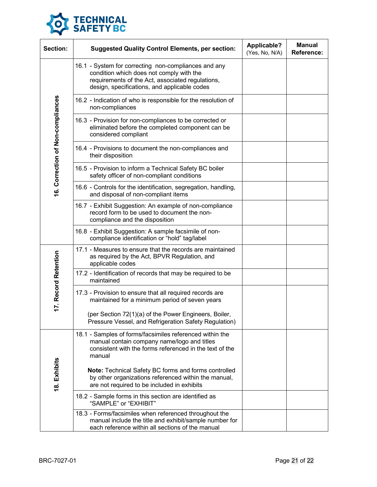

| Section:                          | <b>Suggested Quality Control Elements, per section:</b>                                                                                                                                              | <b>Applicable?</b><br>(Yes, No, N/A) | <b>Manual</b><br>Reference: |
|-----------------------------------|------------------------------------------------------------------------------------------------------------------------------------------------------------------------------------------------------|--------------------------------------|-----------------------------|
| 16. Correction of Non-compliances | 16.1 - System for correcting non-compliances and any<br>condition which does not comply with the<br>requirements of the Act, associated regulations,<br>design, specifications, and applicable codes |                                      |                             |
|                                   | 16.2 - Indication of who is responsible for the resolution of<br>non-compliances                                                                                                                     |                                      |                             |
|                                   | 16.3 - Provision for non-compliances to be corrected or<br>eliminated before the completed component can be<br>considered compliant                                                                  |                                      |                             |
|                                   | 16.4 - Provisions to document the non-compliances and<br>their disposition                                                                                                                           |                                      |                             |
|                                   | 16.5 - Provision to inform a Technical Safety BC boiler<br>safety officer of non-compliant conditions                                                                                                |                                      |                             |
|                                   | 16.6 - Controls for the identification, segregation, handling,<br>and disposal of non-compliant items                                                                                                |                                      |                             |
|                                   | 16.7 - Exhibit Suggestion: An example of non-compliance<br>record form to be used to document the non-<br>compliance and the disposition                                                             |                                      |                             |
|                                   | 16.8 - Exhibit Suggestion: A sample facsimile of non-<br>compliance identification or "hold" tag/label                                                                                               |                                      |                             |
| 17. Record Retention              | 17.1 - Measures to ensure that the records are maintained<br>as required by the Act, BPVR Regulation, and<br>applicable codes                                                                        |                                      |                             |
|                                   | 17.2 - Identification of records that may be required to be<br>maintained                                                                                                                            |                                      |                             |
|                                   | 17.3 - Provision to ensure that all required records are<br>maintained for a minimum period of seven years                                                                                           |                                      |                             |
|                                   | (per Section 72(1)(a) of the Power Engineers, Boiler,<br>Pressure Vessel, and Refrigeration Safety Regulation)                                                                                       |                                      |                             |
| 18. Exhibits                      | 18.1 - Samples of forms/facsimiles referenced within the<br>manual contain company name/logo and titles<br>consistent with the forms referenced in the text of the<br>manual                         |                                      |                             |
|                                   | Note: Technical Safety BC forms and forms controlled<br>by other organizations referenced within the manual,<br>are not required to be included in exhibits                                          |                                      |                             |
|                                   | 18.2 - Sample forms in this section are identified as<br>"SAMPLE" or "EXHIBIT"                                                                                                                       |                                      |                             |
|                                   | 18.3 - Forms/facsimiles when referenced throughout the<br>manual include the title and exhibit/sample number for<br>each reference within all sections of the manual                                 |                                      |                             |